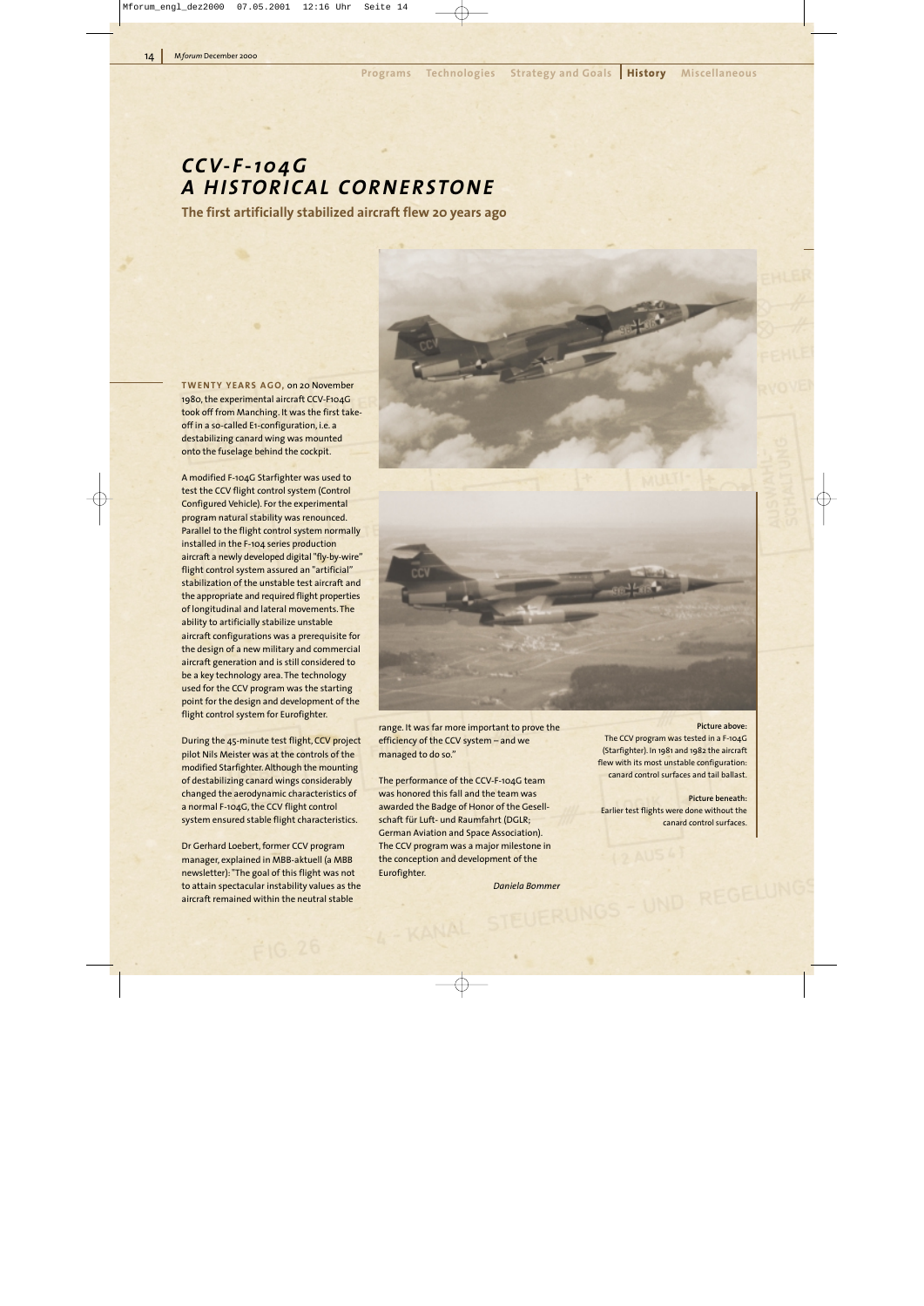# *CCV-F-104G A HISTORICAL CORNERSTONE*

**The first artificially stabilized aircraft flew 20 years ago**

**TWENTY YEARS AGO,** on 20 November 1980, the experimental aircraft CCV-F104G took off from Manching. It was the first takeoff in a so-called E1-configuration, i.e. a destabilizing canard wing was mounted onto the fuselage behind the cockpit.

A modified F-104G Starfighter was used to test the CCV flight control system (Control Configured Vehicle). For the experimental program natural stability was renounced. Parallel to the flight control system normally installed in the F-104 series production aircraft a newly developed digital "fly-by-wire" flight control system assured an "artificial" stabilization of the unstable test aircraft and the appropriate and required flight properties of longitudinal and lateral movements. The ability to artificially stabilize unstable aircraft configurations was a prerequisite for the design of a new military and commercial aircraft generation and is still considered to be a key technology area. The technology used for the CCV program was the starting point for the design and development of the flight control system for Eurofighter.

During the 45-minute test flight, CCV project pilot Nils Meister was at the controls of the modified Starfighter. Although the mounting of destabilizing canard wings considerably changed the aerodynamic characteristics of a normal F-104G, the CCV flight control system ensured stable flight characteristics.

Dr Gerhard Loebert, former CCV program manager, explained in MBB-aktuell (a MBB newsletter): "The goal of this flight was not to attain spectacular instability values as the aircraft remained within the neutral stable



range. It was far more important to prove the efficiency of the CCV system – and we managed to do so."

The performance of the CCV-F-104G team was honored this fall and the team was awarded the Badge of Honor of the Gesellschaft für Luft- und Raumfahrt (DGLR; German Aviation and Space Association). The CCV program was a major milestone in the conception and development of the Eurofighter.

- KANAL

*Daniela Bommer*

#### **Picture above:**

The CCV program was tested in a F-104G (Starfighter). In 1981 and 1982 the aircraft flew with its most unstable configuration: canard control surfaces and tail ballast.

#### **Picture beneath:**

Earlier test flights were done without the canard control surfaces.